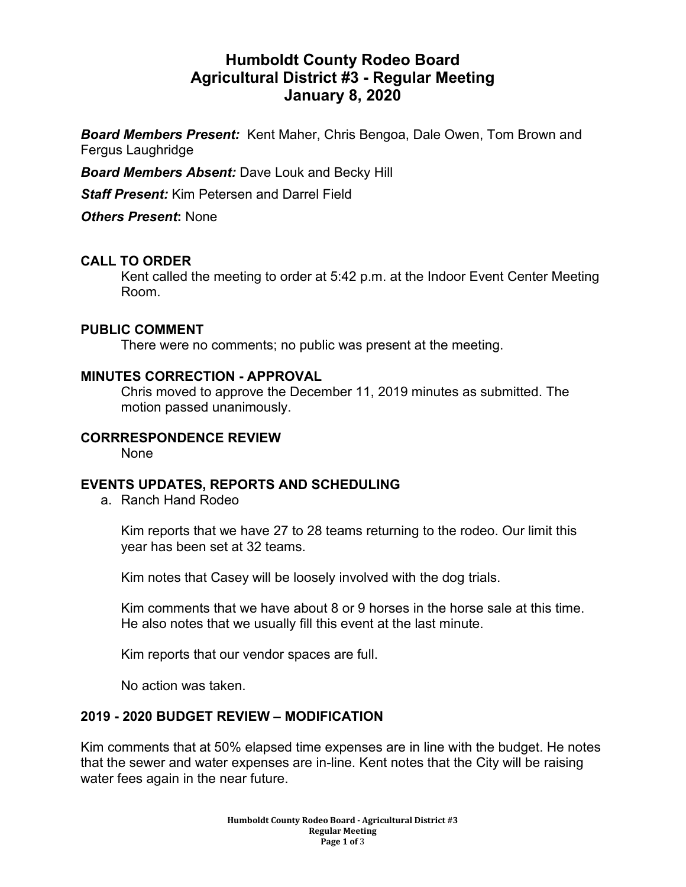# **Humboldt County Rodeo Board Agricultural District #3 - Regular Meeting January 8, 2020**

*Board Members Present:* Kent Maher, Chris Bengoa, Dale Owen, Tom Brown and Fergus Laughridge

*Board Members Absent:* Dave Louk and Becky Hill

*Staff Present:* Kim Petersen and Darrel Field

*Others Present***:** None

### **CALL TO ORDER**

Kent called the meeting to order at 5:42 p.m. at the Indoor Event Center Meeting Room.

### **PUBLIC COMMENT**

There were no comments; no public was present at the meeting.

### **MINUTES CORRECTION - APPROVAL**

Chris moved to approve the December 11, 2019 minutes as submitted. The motion passed unanimously.

### **CORRRESPONDENCE REVIEW**

None

### **EVENTS UPDATES, REPORTS AND SCHEDULING**

a. Ranch Hand Rodeo

Kim reports that we have 27 to 28 teams returning to the rodeo. Our limit this year has been set at 32 teams.

Kim notes that Casey will be loosely involved with the dog trials.

Kim comments that we have about 8 or 9 horses in the horse sale at this time. He also notes that we usually fill this event at the last minute.

Kim reports that our vendor spaces are full.

No action was taken.

### **2019 - 2020 BUDGET REVIEW – MODIFICATION**

Kim comments that at 50% elapsed time expenses are in line with the budget. He notes that the sewer and water expenses are in-line. Kent notes that the City will be raising water fees again in the near future.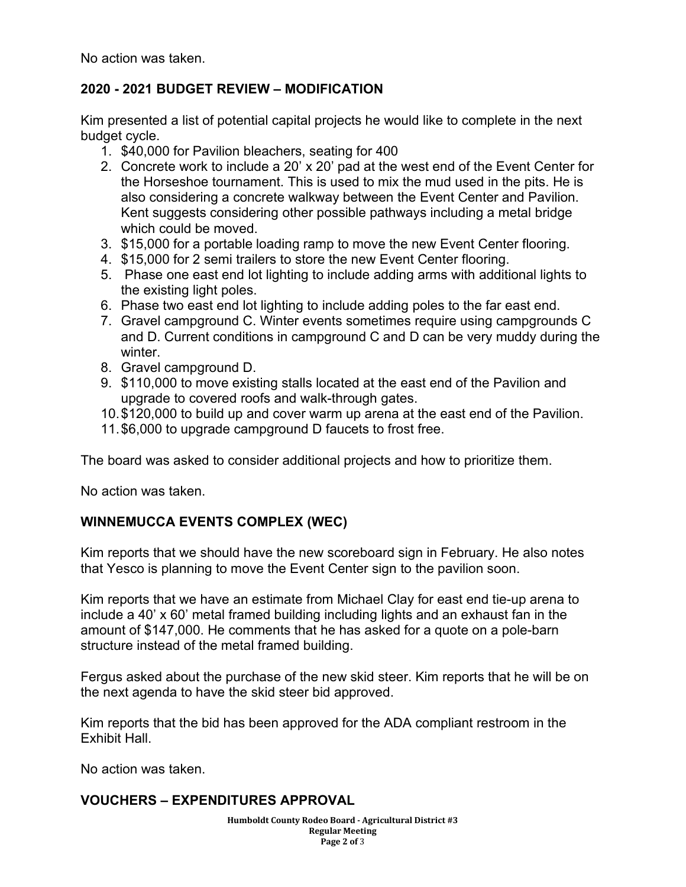No action was taken.

### **2020 - 2021 BUDGET REVIEW – MODIFICATION**

Kim presented a list of potential capital projects he would like to complete in the next budget cycle.

- 1. \$40,000 for Pavilion bleachers, seating for 400
- 2. Concrete work to include a 20' x 20' pad at the west end of the Event Center for the Horseshoe tournament. This is used to mix the mud used in the pits. He is also considering a concrete walkway between the Event Center and Pavilion. Kent suggests considering other possible pathways including a metal bridge which could be moved.
- 3. \$15,000 for a portable loading ramp to move the new Event Center flooring.
- 4. \$15,000 for 2 semi trailers to store the new Event Center flooring.
- 5. Phase one east end lot lighting to include adding arms with additional lights to the existing light poles.
- 6. Phase two east end lot lighting to include adding poles to the far east end.
- 7. Gravel campground C. Winter events sometimes require using campgrounds C and D. Current conditions in campground C and D can be very muddy during the winter.
- 8. Gravel campground D.
- 9. \$110,000 to move existing stalls located at the east end of the Pavilion and upgrade to covered roofs and walk-through gates.
- 10.\$120,000 to build up and cover warm up arena at the east end of the Pavilion.
- 11.\$6,000 to upgrade campground D faucets to frost free.

The board was asked to consider additional projects and how to prioritize them.

No action was taken.

# **WINNEMUCCA EVENTS COMPLEX (WEC)**

Kim reports that we should have the new scoreboard sign in February. He also notes that Yesco is planning to move the Event Center sign to the pavilion soon.

Kim reports that we have an estimate from Michael Clay for east end tie-up arena to include a 40' x 60' metal framed building including lights and an exhaust fan in the amount of \$147,000. He comments that he has asked for a quote on a pole-barn structure instead of the metal framed building.

Fergus asked about the purchase of the new skid steer. Kim reports that he will be on the next agenda to have the skid steer bid approved.

Kim reports that the bid has been approved for the ADA compliant restroom in the Exhibit Hall.

No action was taken.

# **VOUCHERS – EXPENDITURES APPROVAL**

**Humboldt County Rodeo Board - Agricultural District #3 Regular Meeting Page 2 of** 3